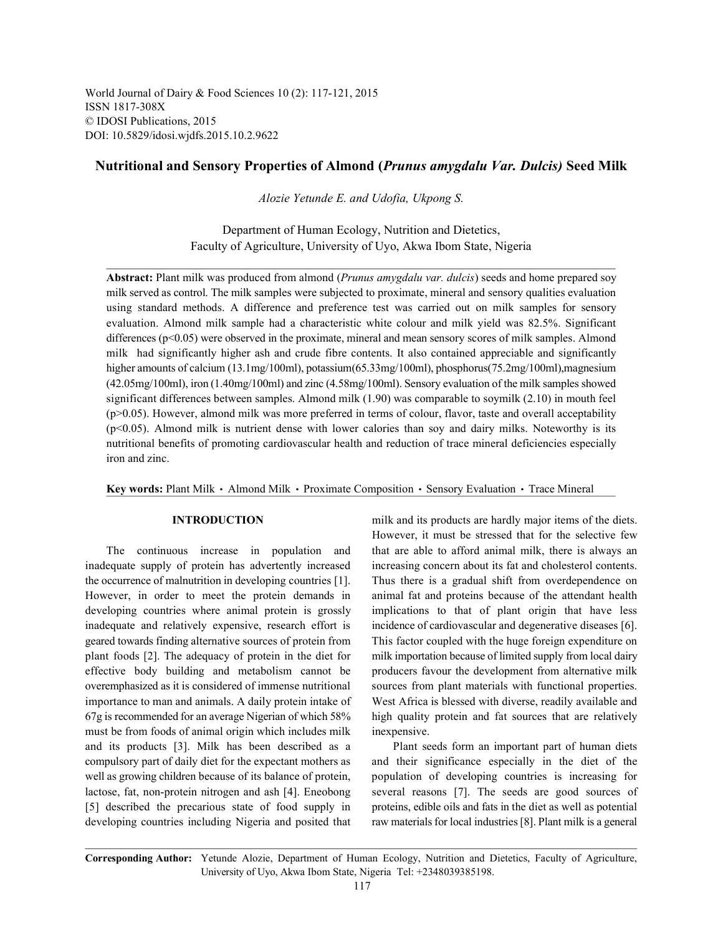World Journal of Dairy & Food Sciences 10 (2): 117-121, 2015 ISSN 1817-308X © IDOSI Publications, 2015 DOI: 10.5829/idosi.wjdfs.2015.10.2.9622

# **Nutritional and Sensory Properties of Almond (***Prunus amygdalu Var. Dulcis)* **Seed Milk**

*Alozie Yetunde E. and Udofia, Ukpong S.*

Department of Human Ecology, Nutrition and Dietetics, Faculty of Agriculture, University of Uyo, Akwa Ibom State, Nigeria

**Abstract:** Plant milk was produced from almond (*Prunus amygdalu var. dulcis*) seeds and home prepared soy milk served as control. The milk samples were subjected to proximate, mineral and sensory qualities evaluation using standard methods. A difference and preference test was carried out on milk samples for sensory evaluation. Almond milk sample had a characteristic white colour and milk yield was 82.5%. Significant differences (p<0.05) were observed in the proximate, mineral and mean sensory scores of milk samples. Almond milk had significantly higher ash and crude fibre contents. It also contained appreciable and significantly higher amounts of calcium (13.1mg/100ml), potassium(65.33mg/100ml), phosphorus(75.2mg/100ml), magnesium (42.05mg/100ml), iron (1.40mg/100ml) and zinc (4.58mg/100ml). Sensory evaluation of the milk samples showed significant differences between samples. Almond milk (1.90) was comparable to soymilk (2.10) in mouth feel (p>0.05). However, almond milk was more preferred in terms of colour, flavor, taste and overall acceptability (p<0.05). Almond milk is nutrient dense with lower calories than soy and dairy milks. Noteworthy is its nutritional benefits of promoting cardiovascular health and reduction of trace mineral deficiencies especially iron and zinc.

Key words: Plant Milk · Almond Milk · Proximate Composition · Sensory Evaluation · Trace Mineral

inadequate supply of protein has advertently increased increasing concern about its fat and cholesterol contents. the occurrence of malnutrition in developing countries [1]. Thus there is a gradual shift from overdependence on However, in order to meet the protein demands in animal fat and proteins because of the attendant health developing countries where animal protein is grossly implications to that of plant origin that have less inadequate and relatively expensive, research effort is incidence of cardiovascular and degenerative diseases [6]. geared towards finding alternative sources of protein from This factor coupled with the huge foreign expenditure on plant foods [2]. The adequacy of protein in the diet for milk importation because of limited supply from local dairy effective body building and metabolism cannot be producers favour the development from alternative milk overemphasized as it is considered of immense nutritional sources from plant materials with functional properties. importance to man and animals. A daily protein intake of West Africa is blessed with diverse, readily available and 67g is recommended for an average Nigerian of which 58% high quality protein and fat sources that are relatively must be from foods of animal origin which includes milk inexpensive. and its products [3]. Milk has been described as a Plant seeds form an important part of human diets compulsory part of daily diet for the expectant mothers as and their significance especially in the diet of the well as growing children because of its balance of protein, population of developing countries is increasing for lactose, fat, non-protein nitrogen and ash [4]. Eneobong several reasons [7]. The seeds are good sources of [5] described the precarious state of food supply in proteins, edible oils and fats in the diet as well as potential developing countries including Nigeria and posited that raw materials for local industries [8]. Plant milk is a general

**INTRODUCTION** milk and its products are hardly major items of the diets. The continuous increase in population and that are able to afford animal milk, there is always an However, it must be stressed that for the selective few

**Corresponding Author:** Yetunde Alozie, Department of Human Ecology, Nutrition and Dietetics, Faculty of Agriculture, University of Uyo, Akwa Ibom State, Nigeria Tel: +2348039385198.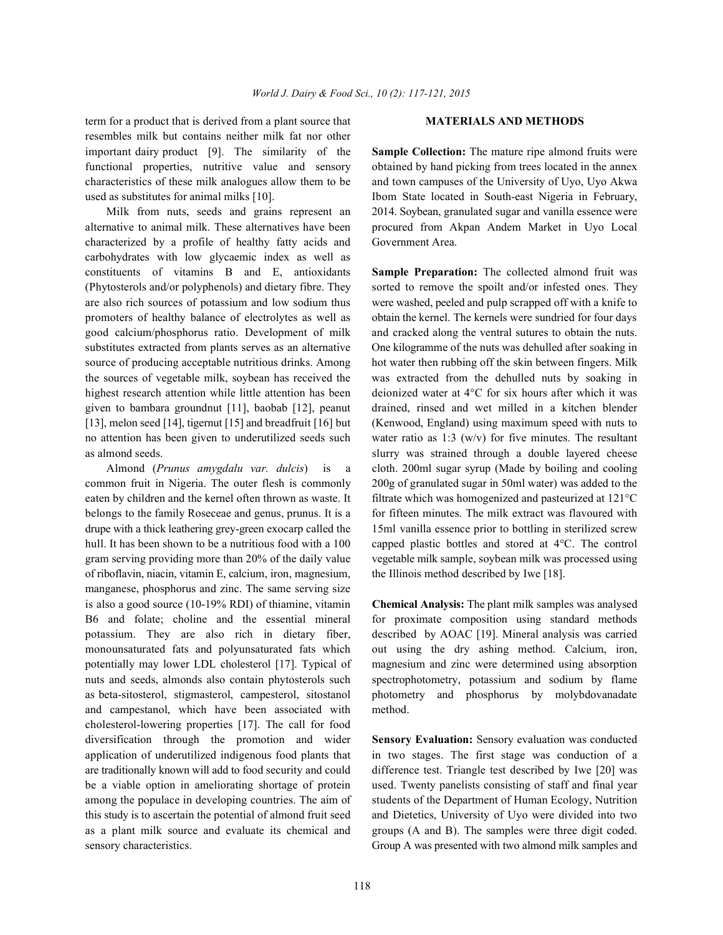term for a product that is derived from a plant source that **MATERIALS AND METHODS** resembles milk but contains neither milk fat nor other important dairy product [9]. The similarity of the **Sample Collection:** The mature ripe almond fruits were functional properties, nutritive value and sensory obtained by hand picking from trees located in the annex characteristics of these milk analogues allow them to be and town campuses of the University of Uyo, Uyo Akwa used as substitutes for animal milks [10]. Ibom State located in South-east Nigeria in February,

alternative to animal milk. These alternatives have been procured from Akpan Andem Market in Uyo Local characterized by a profile of healthy fatty acids and Government Area. carbohydrates with low glycaemic index as well as constituents of vitamins B and E, antioxidants **Sample Preparation:** The collected almond fruit was (Phytosterols and/or polyphenols) and dietary fibre. They sorted to remove the spoilt and/or infested ones. They are also rich sources of potassium and low sodium thus were washed, peeled and pulp scrapped off with a knife to promoters of healthy balance of electrolytes as well as obtain the kernel. The kernels were sundried for four days good calcium/phosphorus ratio. Development of milk and cracked along the ventral sutures to obtain the nuts. substitutes extracted from plants serves as an alternative One kilogramme of the nuts was dehulled after soaking in source of producing acceptable nutritious drinks. Among hot water then rubbing off the skin between fingers. Milk the sources of vegetable milk, soybean has received the was extracted from the dehulled nuts by soaking in highest research attention while little attention has been deionized water at 4°C for six hours after which it was given to bambara groundnut [11], baobab [12], peanut drained, rinsed and wet milled in a kitchen blender [13], melon seed [14], tigernut [15] and breadfruit [16] but (Kenwood, England) using maximum speed with nuts to no attention has been given to underutilized seeds such water ratio as 1:3  $(w/v)$  for five minutes. The resultant as almond seeds. Slurry was strained through a double layered cheese

common fruit in Nigeria. The outer flesh is commonly 200g of granulated sugar in 50ml water) was added to the eaten by children and the kernel often thrown as waste. It filtrate which was homogenized and pasteurized at  $121^{\circ}$ C belongs to the family Roseceae and genus, prunus. It is a for fifteen minutes. The milk extract was flavoured with drupe with a thick leathering grey-green exocarp called the 15ml vanilla essence prior to bottling in sterilized screw hull. It has been shown to be a nutritious food with a 100 capped plastic bottles and stored at 4°C. The control gram serving providing more than 20% of the daily value vegetable milk sample, soybean milk was processed using of riboflavin, niacin, vitamin E, calcium, iron, magnesium, the Illinois method described by Iwe [18]. manganese, phosphorus and zinc. The same serving size is also a good source (10-19% RDI) of thiamine, vitamin **Chemical Analysis:** The plant milk samples was analysed B6 and folate; choline and the essential mineral for proximate composition using standard methods potassium. They are also rich in dietary fiber, described by AOAC [19]. Mineral analysis was carried monounsaturated fats and polyunsaturated fats which out using the dry ashing method. Calcium, iron, potentially may lower LDL cholesterol [17]. Typical of magnesium and zinc were determined using absorption nuts and seeds, almonds also contain phytosterols such spectrophotometry, potassium and sodium by flame as beta-sitosterol, stigmasterol, campesterol, sitostanol photometry and phosphorus by molybdovanadate and campestanol, which have been associated with method. cholesterol-lowering properties [17]. The call for food diversification through the promotion and wider **Sensory Evaluation:** Sensory evaluation was conducted application of underutilized indigenous food plants that in two stages. The first stage was conduction of a are traditionally known will add to food security and could difference test. Triangle test described by Iwe [20] was be a viable option in ameliorating shortage of protein used. Twenty panelists consisting of staff and final year among the populace in developing countries. The aim of students of the Department of Human Ecology, Nutrition this study is to ascertain the potential of almond fruit seed and Dietetics, University of Uyo were divided into two as a plant milk source and evaluate its chemical and groups (A and B). The samples were three digit coded. sensory characteristics. Group A was presented with two almond milk samples and

Milk from nuts, seeds and grains represent an 2014. Soybean, granulated sugar and vanilla essence were

Almond (*Prunus amygdalu var. dulcis*) is a cloth. 200ml sugar syrup (Made by boiling and cooling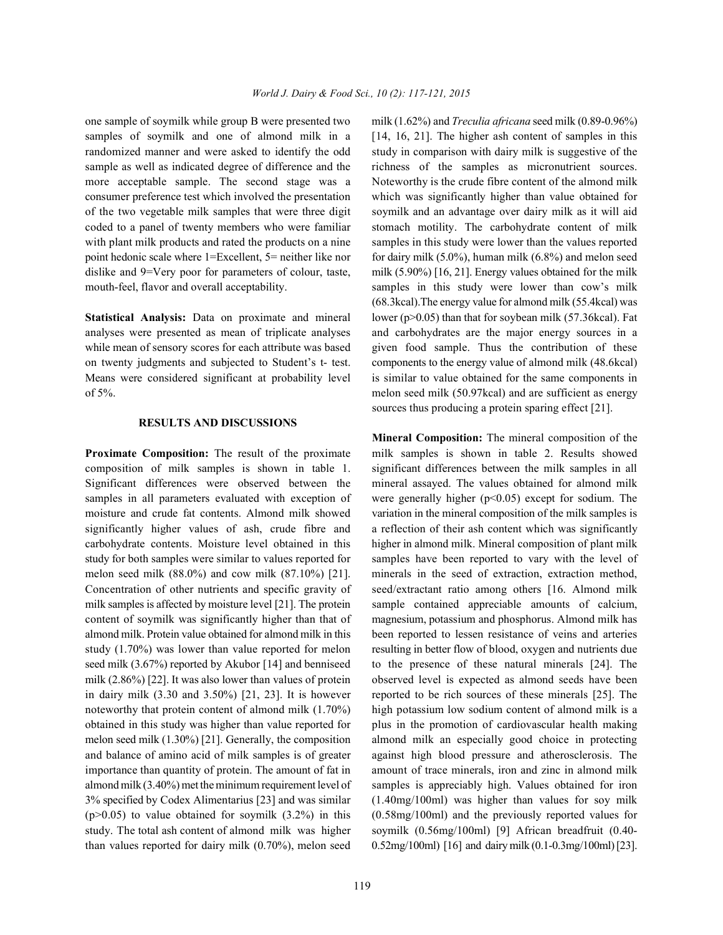samples of soymilk and one of almond milk in a [14, 16, 21]. The higher ash content of samples in this randomized manner and were asked to identify the odd study in comparison with dairy milk is suggestive of the sample as well as indicated degree of difference and the richness of the samples as micronutrient sources. more acceptable sample. The second stage was a Noteworthy is the crude fibre content of the almond milk consumer preference test which involved the presentation which was significantly higher than value obtained for of the two vegetable milk samples that were three digit soymilk and an advantage over dairy milk as it will aid coded to a panel of twenty members who were familiar stomach motility. The carbohydrate content of milk with plant milk products and rated the products on a nine samples in this study were lower than the values reported point hedonic scale where 1=Excellent, 5= neither like nor for dairy milk (5.0%), human milk (6.8%) and melon seed dislike and 9=Very poor for parameters of colour, taste, milk (5.90%) [16, 21]. Energy values obtained for the milk mouth-feel, flavor and overall acceptability. Samples in this study were lower than cow's milk

## **RESULTS AND DISCUSSIONS**

composition of milk samples is shown in table 1. significant differences between the milk samples in all Significant differences were observed between the mineral assayed. The values obtained for almond milk samples in all parameters evaluated with exception of were generally higher ( $p<0.05$ ) except for sodium. The moisture and crude fat contents. Almond milk showed variation in the mineral composition of the milk samples is significantly higher values of ash, crude fibre and a reflection of their ash content which was significantly carbohydrate contents. Moisture level obtained in this higher in almond milk. Mineral composition of plant milk study for both samples were similar to values reported for samples have been reported to vary with the level of melon seed milk (88.0%) and cow milk (87.10%) [21]. minerals in the seed of extraction, extraction method, Concentration of other nutrients and specific gravity of seed/extractant ratio among others [16. Almond milk milk samples is affected by moisture level [21]. The protein sample contained appreciable amounts of calcium, content of soymilk was significantly higher than that of magnesium, potassium and phosphorus. Almond milk has almond milk. Protein value obtained for almond milk in this been reported to lessen resistance of veins and arteries study (1.70%) was lower than value reported for melon resulting in better flow of blood, oxygen and nutrients due seed milk (3.67%) reported by Akubor [14] and benniseed to the presence of these natural minerals [24]. The milk (2.86%) [22]. It was also lower than values of protein observed level is expected as almond seeds have been in dairy milk (3.30 and 3.50%) [21, 23]. It is however reported to be rich sources of these minerals [25]. The noteworthy that protein content of almond milk (1.70%) high potassium low sodium content of almond milk is a obtained in this study was higher than value reported for plus in the promotion of cardiovascular health making melon seed milk (1.30%) [21]. Generally, the composition almond milk an especially good choice in protecting and balance of amino acid of milk samples is of greater against high blood pressure and atherosclerosis. The importance than quantity of protein. The amount of fat in amount of trace minerals, iron and zinc in almond milk almond milk (3.40%) met the minimum requirement level of samples is appreciably high. Values obtained for iron 3% specified by Codex Alimentarius [23] and was similar (1.40mg/100ml) was higher than values for soy milk (p>0.05) to value obtained for soymilk (3.2%) in this (0.58mg/100ml) and the previously reported values for study. The total ash content of almond milk was higher soymilk (0.56mg/100ml) [9] African breadfruit (0.40 than values reported for dairy milk (0.70%), melon seed 0.52mg/100ml) [16] and dairy milk (0.1-0.3mg/100ml) [23].

one sample of soymilk while group B were presented two milk (1.62%) and *Treculia africana* seed milk (0.89-0.96%) **Statistical Analysis:** Data on proximate and mineral lower (p>0.05) than that for soybean milk (57.36kcal). Fat analyses were presented as mean of triplicate analyses and carbohydrates are the major energy sources in a while mean of sensory scores for each attribute was based given food sample. Thus the contribution of these on twenty judgments and subjected to Student's t- test. components to the energy value of almond milk (48.6kcal) Means were considered significant at probability level is similar to value obtained for the same components in of 5%. melon seed milk (50.97kcal) and are sufficient as energy (68.3kcal).The energy value for almond milk (55.4kcal) was sources thus producing a protein sparing effect [21].

**Proximate Composition:** The result of the proximate milk samples is shown in table 2. Results showed **Mineral Composition:** The mineral composition of the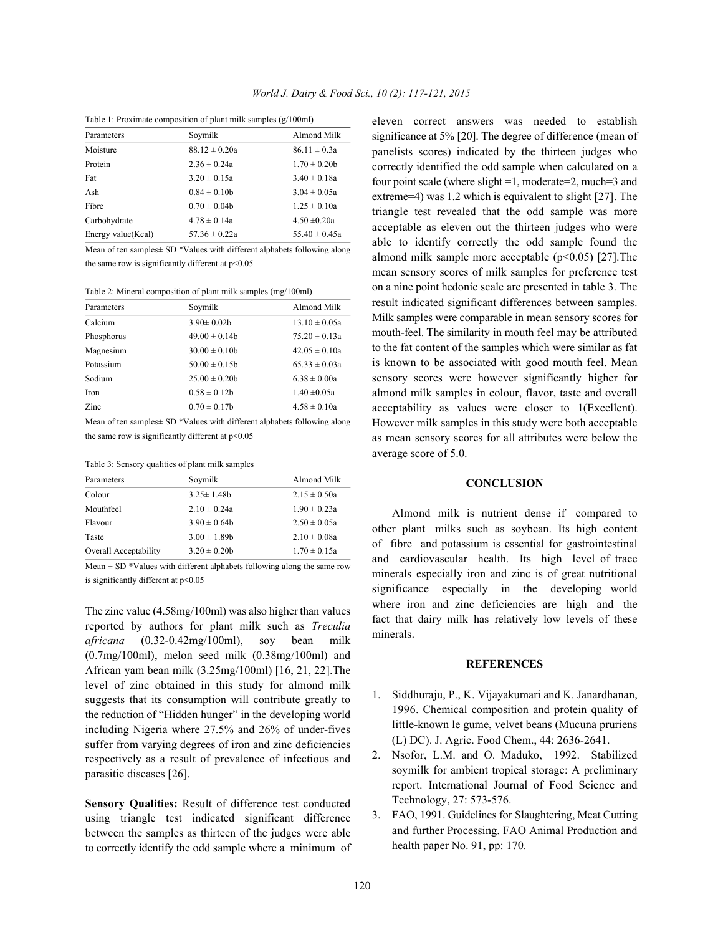Table 1: Proximate composition of plant milk samples (g/100ml)

| Parameters         | Soymilk           | Almond Milk       |
|--------------------|-------------------|-------------------|
| Moisture           | $88.12 \pm 0.20a$ | $86.11 \pm 0.3a$  |
| Protein            | $2.36 \pm 0.24a$  | $1.70 \pm 0.20$   |
| Fat                | $3.20 \pm 0.15a$  | $3.40 \pm 0.18a$  |
| Ash                | $0.84 \pm 0.10h$  | $3.04 \pm 0.05a$  |
| Fibre              | $0.70 \pm 0.04b$  | $1.25 \pm 0.10a$  |
| Carbohydrate       | $4.78 \pm 0.14a$  | $4.50 \pm 0.20a$  |
| Energy value(Kcal) | $57.36 \pm 0.22a$ | $55.40 \pm 0.45a$ |
|                    |                   |                   |

Mean of ten samples± SD \*Values with different alphabets following along the same row is significantly different at  $p<0.05$ 

Table 2: Mineral composition of plant milk samples (mg/100ml)

| Parameters | Soymilk            | Almond Milk       |
|------------|--------------------|-------------------|
| Calcium    | $3.90 \pm 0.02$    | $13.10 \pm 0.05a$ |
| Phosphorus | $49.00 \pm 0.14b$  | $75.20 \pm 0.13a$ |
| Magnesium  | $30.00 \pm 0.10$   | $42.05 \pm 0.10a$ |
| Potassium  | $50.00 \pm 0.15$ h | $65.33 \pm 0.03a$ |
| Sodium     | $25.00 \pm 0.20$   | $6.38 \pm 0.00a$  |
| Iron       | $0.58 \pm 0.12b$   | $1.40 \pm 0.05a$  |
| Zinc       | $0.70 \pm 0.17$    | $4.58 \pm 0.10a$  |

Mean of ten samples± SD \*Values with different alphabets following along the same row is significantly different at  $p<0.05$ 

Table 3: Sensory qualities of plant milk samples

| Parameters            | Soymilk           | Almond Milk      |
|-----------------------|-------------------|------------------|
| Colour                | $3.25 \pm 1.48$ h | $2.15 \pm 0.50a$ |
| Mouthfeel             | $2.10 \pm 0.24a$  | $1.90 \pm 0.23a$ |
| Flavour               | $3.90 \pm 0.64$ h | $2.50 \pm 0.05a$ |
| Taste                 | $3.00 \pm 1.89$ h | $2.10 \pm 0.08a$ |
| Overall Acceptability | $3.20 \pm 0.20$   | $1.70 \pm 0.15a$ |

Mean  $\pm$  SD \*Values with different alphabets following along the same row is significantly different at  $p<0.05$ 

The zinc value (4.58mg/100ml) was also higher than values reported by authors for plant milk such as *Treculia africana* (0.32-0.42mg/100ml), soy bean milk (0.7mg/100ml), melon seed milk (0.38mg/100ml) and African yam bean milk (3.25mg/100ml) [16, 21, 22].The level of zinc obtained in this study for almond milk suggests that its consumption will contribute greatly to the reduction of "Hidden hunger" in the developing world including Nigeria where 27.5% and 26% of under-fives suffer from varying degrees of iron and zinc deficiencies respectively as a result of prevalence of infectious and parasitic diseases [26].

**Sensory Qualities:** Result of difference test conducted using triangle test indicated significant difference between the samples as thirteen of the judges were able to correctly identify the odd sample where a minimum of sensory scores were however significantly higher for eleven correct answers was needed to establish significance at 5% [20]. The degree of difference (mean of panelists scores) indicated by the thirteen judges who correctly identified the odd sample when calculated on a four point scale (where slight =1, moderate=2, much=3 and extreme=4) was 1.2 which is equivalent to slight [27]. The triangle test revealed that the odd sample was more acceptable as eleven out the thirteen judges who were able to identify correctly the odd sample found the almond milk sample more acceptable  $(p<0.05)$  [27]. The mean sensory scores of milk samples for preference test on a nine point hedonic scale are presented in table 3. The result indicated significant differences between samples. Milk samples were comparable in mean sensory scores for mouth-feel. The similarity in mouth feel may be attributed to the fat content of the samples which were similar as fat is known to be associated with good mouth feel. Mean almond milk samples in colour, flavor, taste and overall acceptability as values were closer to 1(Excellent). However milk samples in this study were both acceptable as mean sensory scores for all attributes were below the average score of 5.0.

### **CONCLUSION**

Almond milk is nutrient dense if compared to other plant milks such as soybean. Its high content of fibre and potassium is essential for gastrointestinal and cardiovascular health. Its high level of trace minerals especially iron and zinc is of great nutritional significance especially in the developing world where iron and zinc deficiencies are high and the fact that dairy milk has relatively low levels of these minerals.

### **REFERENCES**

- 1. Siddhuraju, P., K. Vijayakumari and K. Janardhanan, 1996. Chemical composition and protein quality of little-known le gume, velvet beans (Mucuna pruriens (L) DC). J. Agric. Food Chem., 44: 2636-2641.
- 2. Nsofor, L.M. and O. Maduko, 1992. Stabilized soymilk for ambient tropical storage: A preliminary report. International Journal of Food Science and Technology, 27: 573-576.
- 3. FAO, 1991. Guidelines for Slaughtering, Meat Cutting and further Processing. FAO Animal Production and health paper No. 91, pp: 170.